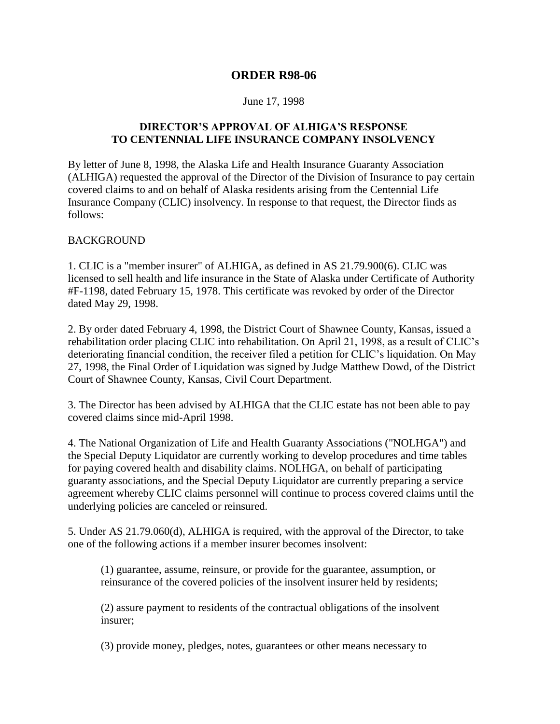# **ORDER R98-06**

### June 17, 1998

## **DIRECTOR'S APPROVAL OF ALHIGA'S RESPONSE TO CENTENNIAL LIFE INSURANCE COMPANY INSOLVENCY**

By letter of June 8, 1998, the Alaska Life and Health Insurance Guaranty Association (ALHIGA) requested the approval of the Director of the Division of Insurance to pay certain covered claims to and on behalf of Alaska residents arising from the Centennial Life Insurance Company (CLIC) insolvency. In response to that request, the Director finds as follows:

### BACKGROUND

1. CLIC is a "member insurer" of ALHIGA, as defined in AS 21.79.900(6). CLIC was licensed to sell health and life insurance in the State of Alaska under Certificate of Authority #F-1198, dated February 15, 1978. This certificate was revoked by order of the Director dated May 29, 1998.

2. By order dated February 4, 1998, the District Court of Shawnee County, Kansas, issued a rehabilitation order placing CLIC into rehabilitation. On April 21, 1998, as a result of CLIC's deteriorating financial condition, the receiver filed a petition for CLIC's liquidation. On May 27, 1998, the Final Order of Liquidation was signed by Judge Matthew Dowd, of the District Court of Shawnee County, Kansas, Civil Court Department.

3. The Director has been advised by ALHIGA that the CLIC estate has not been able to pay covered claims since mid-April 1998.

4. The National Organization of Life and Health Guaranty Associations ("NOLHGA") and the Special Deputy Liquidator are currently working to develop procedures and time tables for paying covered health and disability claims. NOLHGA, on behalf of participating guaranty associations, and the Special Deputy Liquidator are currently preparing a service agreement whereby CLIC claims personnel will continue to process covered claims until the underlying policies are canceled or reinsured.

5. Under AS 21.79.060(d), ALHIGA is required, with the approval of the Director, to take one of the following actions if a member insurer becomes insolvent:

(1) guarantee, assume, reinsure, or provide for the guarantee, assumption, or reinsurance of the covered policies of the insolvent insurer held by residents;

(2) assure payment to residents of the contractual obligations of the insolvent insurer;

(3) provide money, pledges, notes, guarantees or other means necessary to